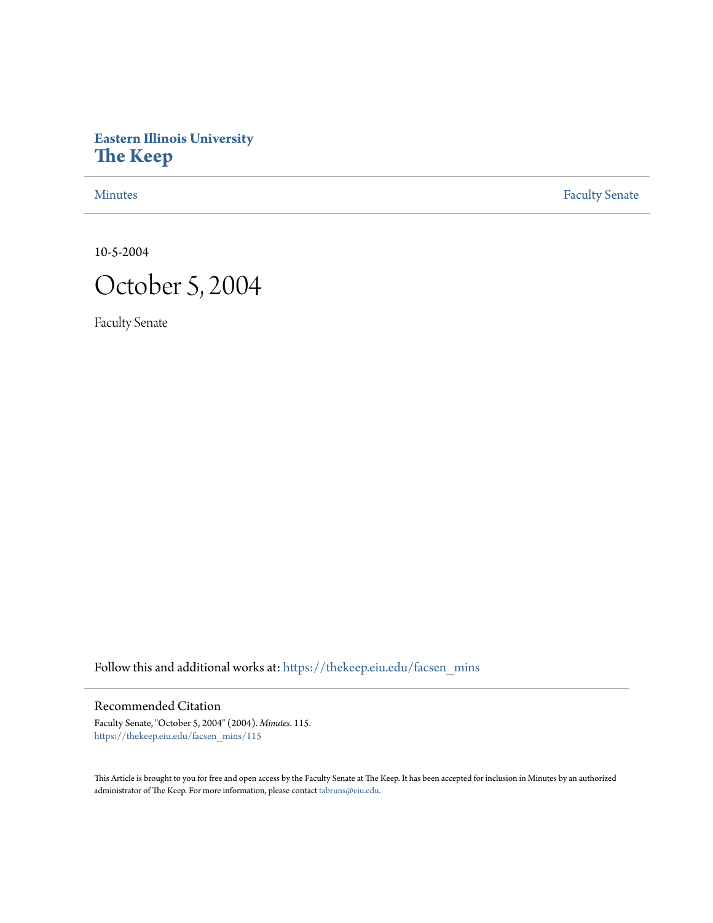# **Eastern Illinois University [The Keep](https://thekeep.eiu.edu?utm_source=thekeep.eiu.edu%2Ffacsen_mins%2F115&utm_medium=PDF&utm_campaign=PDFCoverPages)**

[Minutes](https://thekeep.eiu.edu/facsen_mins?utm_source=thekeep.eiu.edu%2Ffacsen_mins%2F115&utm_medium=PDF&utm_campaign=PDFCoverPages) **[Faculty Senate](https://thekeep.eiu.edu/fac_senate?utm_source=thekeep.eiu.edu%2Ffacsen_mins%2F115&utm_medium=PDF&utm_campaign=PDFCoverPages)** 

10-5-2004



Faculty Senate

Follow this and additional works at: [https://thekeep.eiu.edu/facsen\\_mins](https://thekeep.eiu.edu/facsen_mins?utm_source=thekeep.eiu.edu%2Ffacsen_mins%2F115&utm_medium=PDF&utm_campaign=PDFCoverPages)

Recommended Citation

Faculty Senate, "October 5, 2004" (2004). *Minutes*. 115. [https://thekeep.eiu.edu/facsen\\_mins/115](https://thekeep.eiu.edu/facsen_mins/115?utm_source=thekeep.eiu.edu%2Ffacsen_mins%2F115&utm_medium=PDF&utm_campaign=PDFCoverPages)

This Article is brought to you for free and open access by the Faculty Senate at The Keep. It has been accepted for inclusion in Minutes by an authorized administrator of The Keep. For more information, please contact [tabruns@eiu.edu.](mailto:tabruns@eiu.edu)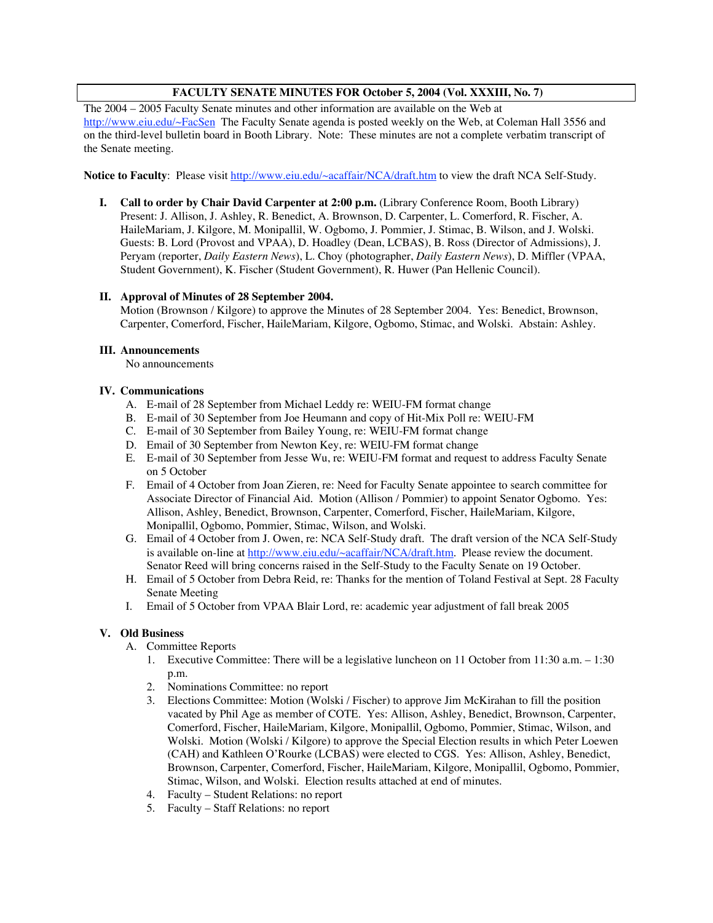# **FACULTY SENATE MINUTES FOR October 5, 2004 (Vol. XXXIII, No. 7)**

The 2004 – 2005 Faculty Senate minutes and other information are available on the Web at

http://www.eiu.edu/~FacSen The Faculty Senate agenda is posted weekly on the Web, at Coleman Hall 3556 and on the third-level bulletin board in Booth Library. Note: These minutes are not a complete verbatim transcript of the Senate meeting.

**Notice to Faculty**: Please visit http://www.eiu.edu/~acaffair/NCA/draft.htm to view the draft NCA Self-Study.

**I. Call to order by Chair David Carpenter at 2:00 p.m.** (Library Conference Room, Booth Library) Present: J. Allison, J. Ashley, R. Benedict, A. Brownson, D. Carpenter, L. Comerford, R. Fischer, A. HaileMariam, J. Kilgore, M. Monipallil, W. Ogbomo, J. Pommier, J. Stimac, B. Wilson, and J. Wolski. Guests: B. Lord (Provost and VPAA), D. Hoadley (Dean, LCBAS), B. Ross (Director of Admissions), J. Peryam (reporter, *Daily Eastern News*), L. Choy (photographer, *Daily Eastern News*), D. Miffler (VPAA, Student Government), K. Fischer (Student Government), R. Huwer (Pan Hellenic Council).

## **II. Approval of Minutes of 28 September 2004.**

Motion (Brownson / Kilgore) to approve the Minutes of 28 September 2004. Yes: Benedict, Brownson, Carpenter, Comerford, Fischer, HaileMariam, Kilgore, Ogbomo, Stimac, and Wolski. Abstain: Ashley.

#### **III. Announcements**

No announcements

## **IV. Communications**

- A. E-mail of 28 September from Michael Leddy re: WEIU-FM format change
- B. E-mail of 30 September from Joe Heumann and copy of Hit-Mix Poll re: WEIU-FM
- C. E-mail of 30 September from Bailey Young, re: WEIU-FM format change
- D. Email of 30 September from Newton Key, re: WEIU-FM format change
- E. E-mail of 30 September from Jesse Wu, re: WEIU-FM format and request to address Faculty Senate on 5 October
- F. Email of 4 October from Joan Zieren, re: Need for Faculty Senate appointee to search committee for Associate Director of Financial Aid. Motion (Allison / Pommier) to appoint Senator Ogbomo. Yes: Allison, Ashley, Benedict, Brownson, Carpenter, Comerford, Fischer, HaileMariam, Kilgore, Monipallil, Ogbomo, Pommier, Stimac, Wilson, and Wolski.
- G. Email of 4 October from J. Owen, re: NCA Self-Study draft. The draft version of the NCA Self-Study is available on-line at http://www.eiu.edu/~acaffair/NCA/draft.htm. Please review the document. Senator Reed will bring concerns raised in the Self-Study to the Faculty Senate on 19 October.
- H. Email of 5 October from Debra Reid, re: Thanks for the mention of Toland Festival at Sept. 28 Faculty Senate Meeting
- I. Email of 5 October from VPAA Blair Lord, re: academic year adjustment of fall break 2005

## **V. Old Business**

- A. Committee Reports
	- 1. Executive Committee: There will be a legislative luncheon on 11 October from 11:30 a.m. 1:30 p.m.
	- 2. Nominations Committee: no report
	- 3. Elections Committee: Motion (Wolski / Fischer) to approve Jim McKirahan to fill the position vacated by Phil Age as member of COTE. Yes: Allison, Ashley, Benedict, Brownson, Carpenter, Comerford, Fischer, HaileMariam, Kilgore, Monipallil, Ogbomo, Pommier, Stimac, Wilson, and Wolski. Motion (Wolski / Kilgore) to approve the Special Election results in which Peter Loewen (CAH) and Kathleen O'Rourke (LCBAS) were elected to CGS. Yes: Allison, Ashley, Benedict, Brownson, Carpenter, Comerford, Fischer, HaileMariam, Kilgore, Monipallil, Ogbomo, Pommier, Stimac, Wilson, and Wolski. Election results attached at end of minutes.
	- 4. Faculty Student Relations: no report
	- 5. Faculty Staff Relations: no report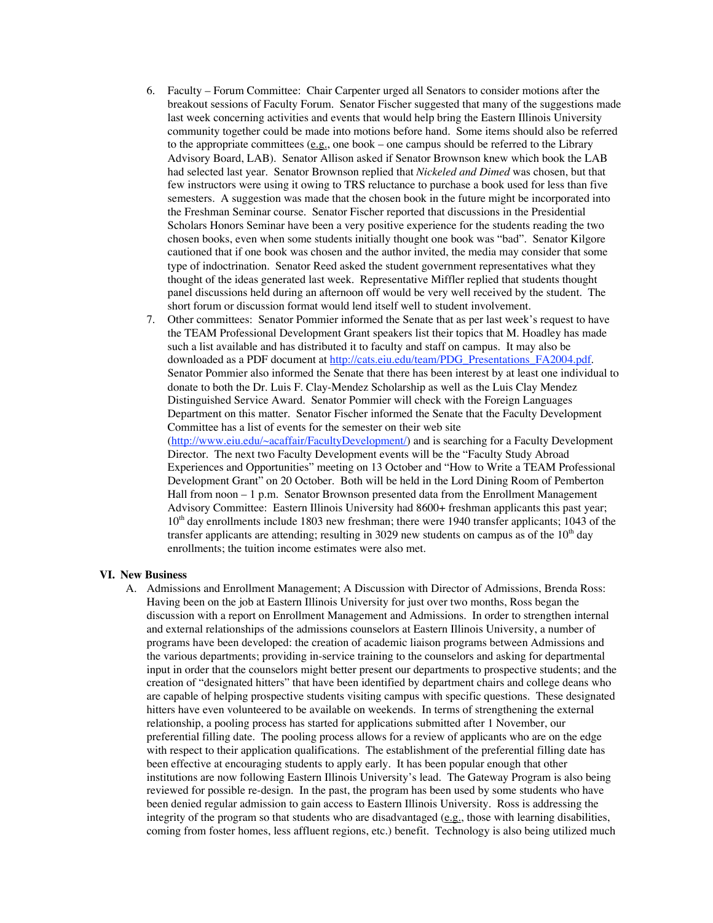- 6. Faculty Forum Committee: Chair Carpenter urged all Senators to consider motions after the breakout sessions of Faculty Forum. Senator Fischer suggested that many of the suggestions made last week concerning activities and events that would help bring the Eastern Illinois University community together could be made into motions before hand. Some items should also be referred to the appropriate committees  $(\underline{e.g.})$ , one book – one campus should be referred to the Library Advisory Board, LAB). Senator Allison asked if Senator Brownson knew which book the LAB had selected last year. Senator Brownson replied that *Nickeled and Dimed* was chosen, but that few instructors were using it owing to TRS reluctance to purchase a book used for less than five semesters. A suggestion was made that the chosen book in the future might be incorporated into the Freshman Seminar course. Senator Fischer reported that discussions in the Presidential Scholars Honors Seminar have been a very positive experience for the students reading the two chosen books, even when some students initially thought one book was "bad". Senator Kilgore cautioned that if one book was chosen and the author invited, the media may consider that some type of indoctrination. Senator Reed asked the student government representatives what they thought of the ideas generated last week. Representative Miffler replied that students thought panel discussions held during an afternoon off would be very well received by the student. The short forum or discussion format would lend itself well to student involvement.
- 7. Other committees: Senator Pommier informed the Senate that as per last week's request to have the TEAM Professional Development Grant speakers list their topics that M. Hoadley has made such a list available and has distributed it to faculty and staff on campus. It may also be downloaded as a PDF document at http://cats.eiu.edu/team/PDG\_Presentations\_FA2004.pdf. Senator Pommier also informed the Senate that there has been interest by at least one individual to donate to both the Dr. Luis F. Clay-Mendez Scholarship as well as the Luis Clay Mendez Distinguished Service Award. Senator Pommier will check with the Foreign Languages Department on this matter. Senator Fischer informed the Senate that the Faculty Development Committee has a list of events for the semester on their web site (http://www.eiu.edu/~acaffair/FacultyDevelopment/) and is searching for a Faculty Development Director. The next two Faculty Development events will be the "Faculty Study Abroad Experiences and Opportunities" meeting on 13 October and "How to Write a TEAM Professional Development Grant" on 20 October. Both will be held in the Lord Dining Room of Pemberton

Hall from noon - 1 p.m. Senator Brownson presented data from the Enrollment Management Advisory Committee: Eastern Illinois University had 8600+ freshman applicants this past year;  $10<sup>th</sup>$  day enrollments include 1803 new freshman; there were 1940 transfer applicants; 1043 of the transfer applicants are attending; resulting in 3029 new students on campus as of the  $10<sup>th</sup>$  day enrollments; the tuition income estimates were also met.

#### **VI. New Business**

A. Admissions and Enrollment Management; A Discussion with Director of Admissions, Brenda Ross: Having been on the job at Eastern Illinois University for just over two months, Ross began the discussion with a report on Enrollment Management and Admissions. In order to strengthen internal and external relationships of the admissions counselors at Eastern Illinois University, a number of programs have been developed: the creation of academic liaison programs between Admissions and the various departments; providing in-service training to the counselors and asking for departmental input in order that the counselors might better present our departments to prospective students; and the creation of "designated hitters" that have been identified by department chairs and college deans who are capable of helping prospective students visiting campus with specific questions. These designated hitters have even volunteered to be available on weekends. In terms of strengthening the external relationship, a pooling process has started for applications submitted after 1 November, our preferential filling date. The pooling process allows for a review of applicants who are on the edge with respect to their application qualifications. The establishment of the preferential filling date has been effective at encouraging students to apply early. It has been popular enough that other institutions are now following Eastern Illinois University's lead. The Gateway Program is also being reviewed for possible re-design. In the past, the program has been used by some students who have been denied regular admission to gain access to Eastern Illinois University. Ross is addressing the integrity of the program so that students who are disadvantaged  $(e.g.,)$  those with learning disabilities, coming from foster homes, less affluent regions, etc.) benefit. Technology is also being utilized much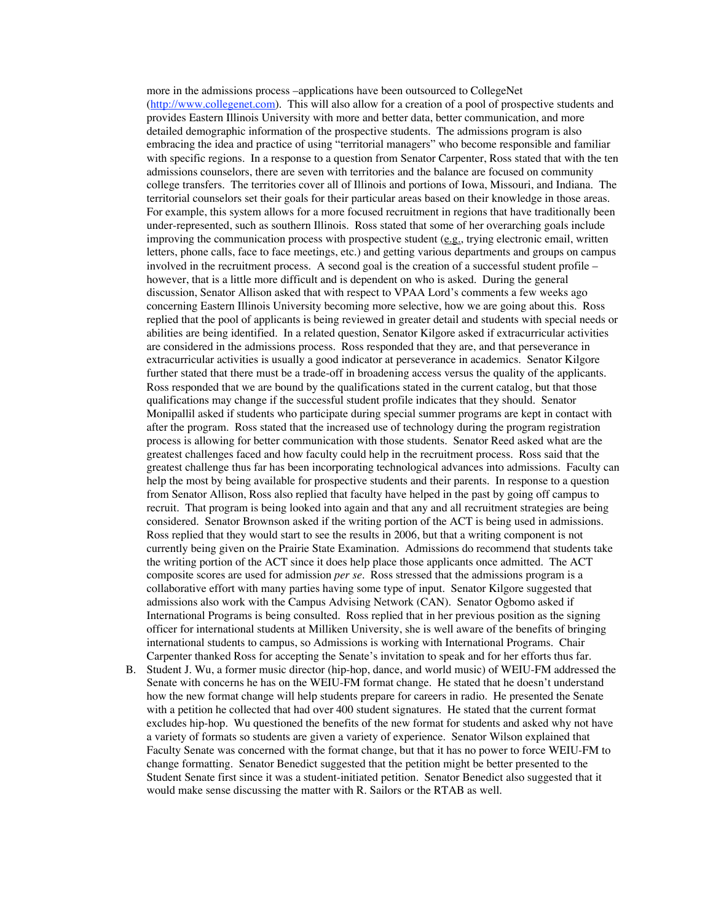more in the admissions process –applications have been outsourced to CollegeNet (http://www.collegenet.com). This will also allow for a creation of a pool of prospective students and provides Eastern Illinois University with more and better data, better communication, and more detailed demographic information of the prospective students. The admissions program is also embracing the idea and practice of using "territorial managers" who become responsible and familiar with specific regions. In a response to a question from Senator Carpenter, Ross stated that with the ten admissions counselors, there are seven with territories and the balance are focused on community college transfers. The territories cover all of Illinois and portions of Iowa, Missouri, and Indiana. The territorial counselors set their goals for their particular areas based on their knowledge in those areas. For example, this system allows for a more focused recruitment in regions that have traditionally been under-represented, such as southern Illinois. Ross stated that some of her overarching goals include improving the communication process with prospective student (e.g., trying electronic email, written letters, phone calls, face to face meetings, etc.) and getting various departments and groups on campus involved in the recruitment process. A second goal is the creation of a successful student profile – however, that is a little more difficult and is dependent on who is asked. During the general discussion, Senator Allison asked that with respect to VPAA Lord's comments a few weeks ago concerning Eastern Illinois University becoming more selective, how we are going about this. Ross replied that the pool of applicants is being reviewed in greater detail and students with special needs or abilities are being identified. In a related question, Senator Kilgore asked if extracurricular activities are considered in the admissions process. Ross responded that they are, and that perseverance in extracurricular activities is usually a good indicator at perseverance in academics. Senator Kilgore further stated that there must be a trade-off in broadening access versus the quality of the applicants. Ross responded that we are bound by the qualifications stated in the current catalog, but that those qualifications may change if the successful student profile indicates that they should. Senator Monipallil asked if students who participate during special summer programs are kept in contact with after the program. Ross stated that the increased use of technology during the program registration process is allowing for better communication with those students. Senator Reed asked what are the greatest challenges faced and how faculty could help in the recruitment process. Ross said that the greatest challenge thus far has been incorporating technological advances into admissions. Faculty can help the most by being available for prospective students and their parents. In response to a question from Senator Allison, Ross also replied that faculty have helped in the past by going off campus to recruit. That program is being looked into again and that any and all recruitment strategies are being considered. Senator Brownson asked if the writing portion of the ACT is being used in admissions. Ross replied that they would start to see the results in 2006, but that a writing component is not currently being given on the Prairie State Examination. Admissions do recommend that students take the writing portion of the ACT since it does help place those applicants once admitted. The ACT composite scores are used for admission *per se*. Ross stressed that the admissions program is a collaborative effort with many parties having some type of input. Senator Kilgore suggested that admissions also work with the Campus Advising Network (CAN). Senator Ogbomo asked if International Programs is being consulted. Ross replied that in her previous position as the signing officer for international students at Milliken University, she is well aware of the benefits of bringing international students to campus, so Admissions is working with International Programs. Chair Carpenter thanked Ross for accepting the Senate's invitation to speak and for her efforts thus far.

B. Student J. Wu, a former music director (hip-hop, dance, and world music) of WEIU-FM addressed the Senate with concerns he has on the WEIU-FM format change. He stated that he doesn't understand how the new format change will help students prepare for careers in radio. He presented the Senate with a petition he collected that had over 400 student signatures. He stated that the current format excludes hip-hop. Wu questioned the benefits of the new format for students and asked why not have a variety of formats so students are given a variety of experience. Senator Wilson explained that Faculty Senate was concerned with the format change, but that it has no power to force WEIU-FM to change formatting. Senator Benedict suggested that the petition might be better presented to the Student Senate first since it was a student-initiated petition. Senator Benedict also suggested that it would make sense discussing the matter with R. Sailors or the RTAB as well.